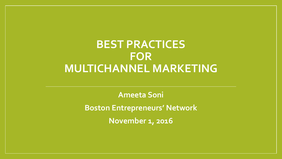### **BEST PRACTICES FOR MULTICHANNEL MARKETING**

**Ameeta Soni Boston Entrepreneurs' Network November 1, 2016**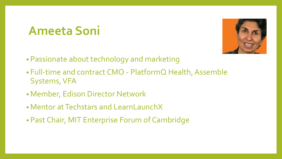### **Ameeta Soni**



- Passionate about technology and marketing
- Full-time and contract CMO PlatformQ Health, Assemble Systems, VFA
- Member, Edison Director Network
- Mentor at Techstars and LearnLaunchX
- Past Chair, MIT Enterprise Forum of Cambridge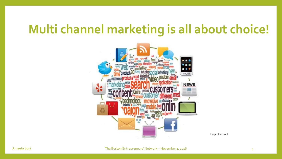### **Multi channel marketing is all about choice!**



Image: Kim Huynh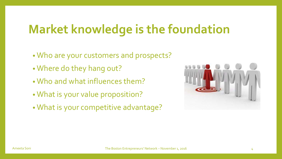## **Market knowledge is the foundation**

- Who are your customers and prospects?
- Where do they hang out?
- Who and what influences them?
- What is your value proposition?
- What is your competitive advantage?

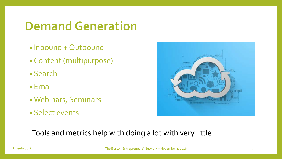## **Demand Generation**

- Inbound + Outbound
- Content (multipurpose)
- Search
- Email
- Webinars, Seminars
- Select events



#### Tools and metrics help with doing a lot with very little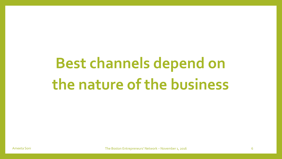# **Best channels depend on the nature of the business**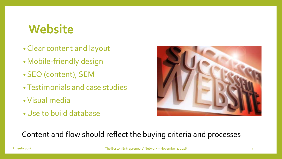### **Website**

- Clear content and layout
- Mobile-friendly design
- SEO (content), SEM
- Testimonials and case studies
- Visual media
- •Use to build database



#### Content and flow should reflect the buying criteria and processes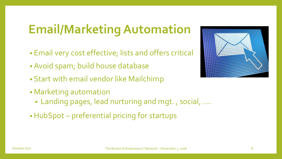# **Email/Marketing Automation**

- Email very cost effective; lists and offers critical
- Avoid spam; build house database
- Start with email vendor like Mailchimp
- Marketing automation
	- Landing pages, lead nurturing and mgt. , social, ….
- •HubSpot preferential pricing for startups

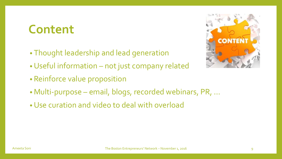### **Content**

- Thought leadership and lead generation
- •Useful information not just company related
- Reinforce value proposition
- Multi-purpose email, blogs, recorded webinars, PR, …
- •Use curation and video to deal with overload

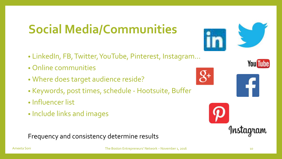# **Social Media/Communities**

- LinkedIn, FB, Twitter, YouTube, Pinterest, Instagram…
- Online communities
- Where does target audience reside?
- Keywords, post times, schedule Hootsuite, Buffer
- Influencer list
- Include links and images

Frequency and consistency determine results







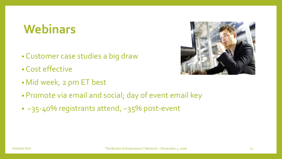### **Webinars**

- Customer case studies a big draw
- Cost effective
- Mid week, 2 pm ET best
- Promote via email and social; day of event email key
- ~35-40% registrants attend, ~35% post-event

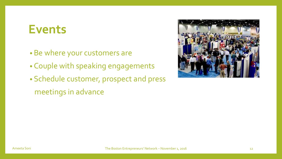### **Events**

- Be where your customers are
- Couple with speaking engagements
- Schedule customer, prospect and press meetings in advance

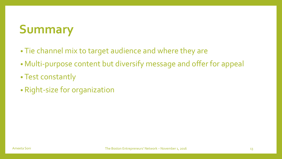# **Summary**

- Tie channel mix to target audience and where they are
- Multi-purpose content but diversify message and offer for appeal
- Test constantly
- Right-size for organization